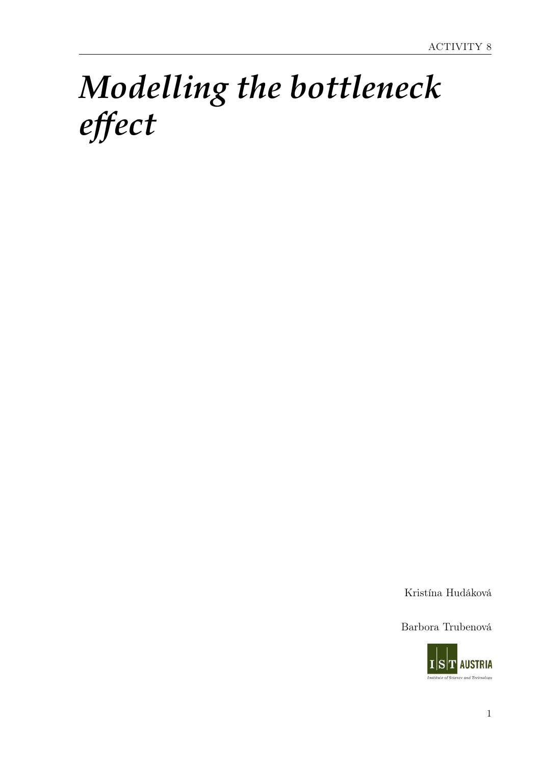# *Modelling the bottleneck effect*

Kristína Hudáková

Barbora Trubenová

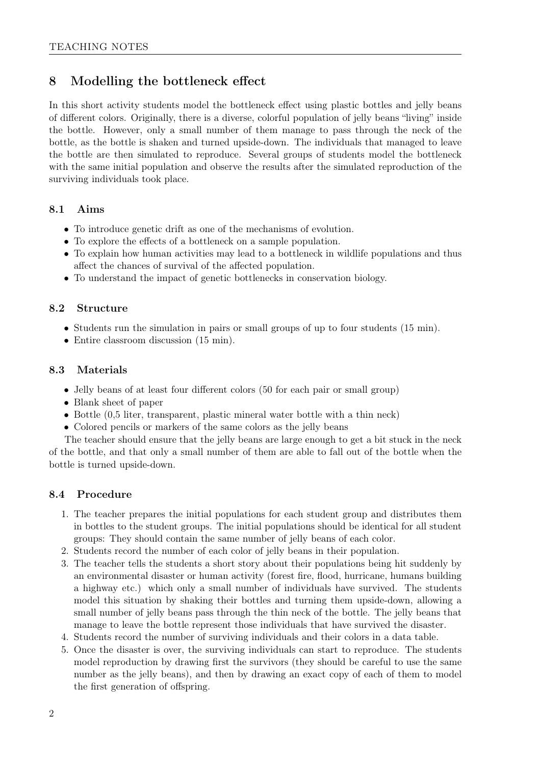## 8 Modelling the bottleneck effect

In this short activity students model the bottleneck effect using plastic bottles and jelly beans of different colors. Originally, there is a diverse, colorful population of jelly beans "living" inside the bottle. However, only a small number of them manage to pass through the neck of the bottle, as the bottle is shaken and turned upside-down. The individuals that managed to leave the bottle are then simulated to reproduce. Several groups of students model the bottleneck with the same initial population and observe the results after the simulated reproduction of the surviving individuals took place.

### 8.1 Aims

- To introduce genetic drift as one of the mechanisms of evolution.
- To explore the effects of a bottleneck on a sample population.
- To explain how human activities may lead to a bottleneck in wildlife populations and thus affect the chances of survival of the affected population.
- To understand the impact of genetic bottlenecks in conservation biology.

### 8.2 Structure

- Students run the simulation in pairs or small groups of up to four students (15 min).
- Entire classroom discussion  $(15 \text{ min})$ .

### 8.3 Materials

- Jelly beans of at least four different colors (50 for each pair or small group)
- Blank sheet of paper
- Bottle (0,5 liter, transparent, plastic mineral water bottle with a thin neck)
- Colored pencils or markers of the same colors as the jelly beans

The teacher should ensure that the jelly beans are large enough to get a bit stuck in the neck of the bottle, and that only a small number of them are able to fall out of the bottle when the bottle is turned upside-down.

### 8.4 Procedure

- 1. The teacher prepares the initial populations for each student group and distributes them in bottles to the student groups. The initial populations should be identical for all student groups: They should contain the same number of jelly beans of each color.
- 2. Students record the number of each color of jelly beans in their population.
- 3. The teacher tells the students a short story about their populations being hit suddenly by an environmental disaster or human activity (forest fire, flood, hurricane, humans building a highway etc.) which only a small number of individuals have survived. The students model this situation by shaking their bottles and turning them upside-down, allowing a small number of jelly beans pass through the thin neck of the bottle. The jelly beans that manage to leave the bottle represent those individuals that have survived the disaster.
- 4. Students record the number of surviving individuals and their colors in a data table.
- 5. Once the disaster is over, the surviving individuals can start to reproduce. The students model reproduction by drawing first the survivors (they should be careful to use the same number as the jelly beans), and then by drawing an exact copy of each of them to model the first generation of offspring.